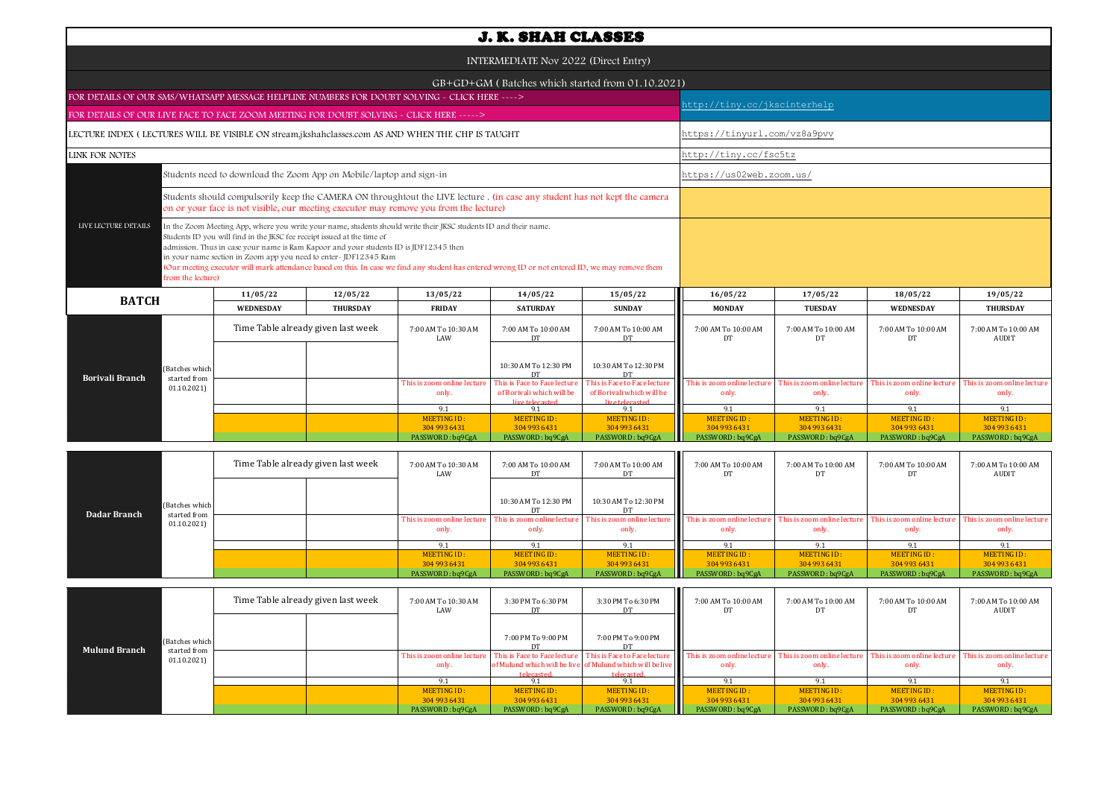| <b>J. K. SHAH CLASSES</b>                                                                         |                                                                                                                                                                                                                                                                                                                                                                                                                                                                                                             |                 |                                                  |                                                           |                                                                  |                                      |                                     |                                      |                                      |  |
|---------------------------------------------------------------------------------------------------|-------------------------------------------------------------------------------------------------------------------------------------------------------------------------------------------------------------------------------------------------------------------------------------------------------------------------------------------------------------------------------------------------------------------------------------------------------------------------------------------------------------|-----------------|--------------------------------------------------|-----------------------------------------------------------|------------------------------------------------------------------|--------------------------------------|-------------------------------------|--------------------------------------|--------------------------------------|--|
| INTERMEDIATE Nov 2022 (Direct Entry)                                                              |                                                                                                                                                                                                                                                                                                                                                                                                                                                                                                             |                 |                                                  |                                                           |                                                                  |                                      |                                     |                                      |                                      |  |
|                                                                                                   |                                                                                                                                                                                                                                                                                                                                                                                                                                                                                                             |                 | GB+GD+GM (Batches which started from 01.10.2021) |                                                           |                                                                  |                                      |                                     |                                      |                                      |  |
| FOR DETAILS OF OUR SMS/WHATSAPP MESSAGE HELPLINE NUMBERS FOR DOUBT SOLVING - CLICK HERE ---->     |                                                                                                                                                                                                                                                                                                                                                                                                                                                                                                             |                 | http://tiny.cc/jkscinterhelp                     |                                                           |                                                                  |                                      |                                     |                                      |                                      |  |
| FOR DETAILS OF OUR LIVE FACE TO FACE ZOOM MEETING FOR DOUBT SOLVING - CLICK HERE ----->           |                                                                                                                                                                                                                                                                                                                                                                                                                                                                                                             |                 |                                                  |                                                           |                                                                  |                                      |                                     |                                      |                                      |  |
| LECTURE INDEX (LECTURES WILL BE VISIBLE ON stream.jkshahclasses.com AS AND WHEN THE CHP IS TAUGHT |                                                                                                                                                                                                                                                                                                                                                                                                                                                                                                             |                 |                                                  |                                                           |                                                                  |                                      | https://tinyurl.com/vz8a9pvv        |                                      |                                      |  |
| <b>LINK FOR NOTES</b>                                                                             |                                                                                                                                                                                                                                                                                                                                                                                                                                                                                                             |                 |                                                  |                                                           |                                                                  | http://tiny.cc/fsc5tz                |                                     |                                      |                                      |  |
|                                                                                                   | Students need to download the Zoom App on Mobile/laptop and sign-in                                                                                                                                                                                                                                                                                                                                                                                                                                         |                 |                                                  |                                                           |                                                                  | https://us02web.zoom.us/             |                                     |                                      |                                      |  |
|                                                                                                   | Students should compulsorily keep the CAMERA ON throughtout the LIVE lecture . (in case any student has not kept the camera<br>on or your face is not visible, our meeting executor may remove you from the lecture)                                                                                                                                                                                                                                                                                        |                 |                                                  |                                                           |                                                                  |                                      |                                     |                                      |                                      |  |
| LIVE LECTURE DETAILS<br>from the lecture)                                                         | In the Zoom Meeting App, where you write your name, students should write their JKSC students ID and their name.<br>Students ID you will find in the JKSC fee receipt issued at the time of<br>admission. Thus in case your name is Ram Kapoor and your students ID is JDF12345 then<br>in your name section in Zoom app you need to enter-JDF12345 Ram<br>(Our meeting executor will mark attendance based on this. In case we find any student has entered wrong ID or not entered ID, we may remove them |                 |                                                  |                                                           |                                                                  |                                      |                                     |                                      |                                      |  |
| <b>BATCH</b>                                                                                      | 11/05/22                                                                                                                                                                                                                                                                                                                                                                                                                                                                                                    | 12/05/22        | 13/05/22                                         | 14/05/22                                                  | 15/05/22                                                         | 16/05/22                             | 17/05/22                            | 18/05/22                             | 19/05/22                             |  |
|                                                                                                   | <b>WEDNESDAY</b>                                                                                                                                                                                                                                                                                                                                                                                                                                                                                            | <b>THURSDAY</b> | <b>FRIDAY</b>                                    | <b>SATURDAY</b>                                           | <b>SUNDAY</b>                                                    | <b>MONDAY</b>                        | <b>TUESDAY</b>                      | <b>WEDNESDAY</b>                     | <b>THURSDAY</b>                      |  |
|                                                                                                   | Time Table already given last week                                                                                                                                                                                                                                                                                                                                                                                                                                                                          |                 | 7:00 AM To 10:30 AM<br>LAW                       | 7:00 AM To 10:00 AM<br>DT                                 | 7:00 AM To 10:00 AM<br>DT                                        | 7:00 AM To 10:00 AM<br>DT            | 7:00 AM To 10:00 AM<br>DT           | 7:00 AM To 10:00 AM<br>DT            | 7:00 AM To 10:00 AM<br>AUDIT         |  |
| (Batches which<br><b>Borivali Branch</b><br>started from                                          |                                                                                                                                                                                                                                                                                                                                                                                                                                                                                                             |                 |                                                  | 10:30 AM To 12:30 PM<br>DТ                                | 10:30 AM To 12:30 PM<br>DT                                       |                                      |                                     |                                      |                                      |  |
| 01.10.2021                                                                                        |                                                                                                                                                                                                                                                                                                                                                                                                                                                                                                             |                 | This is zoom online lecture<br>only.             | This is Face to Face lecture<br>of Borivali which will be | <b>This is Face to Face lecture</b><br>of Borivali which will be | This is zoom online lecture<br>only. | This is zoom online lectur<br>only. | This is zoom online lecture<br>only. | This is zoom online lecture<br>only. |  |
|                                                                                                   |                                                                                                                                                                                                                                                                                                                                                                                                                                                                                                             |                 | 9.1                                              | live telecasted<br>9.1                                    | live telecasted<br>9.1                                           | 9.1                                  | 9.1                                 | 9.1                                  | 9.1                                  |  |
|                                                                                                   |                                                                                                                                                                                                                                                                                                                                                                                                                                                                                                             |                 | MEETING ID:                                      | <b>MEETING ID:</b>                                        | <b>MEETING ID:</b>                                               | <b>MEETING ID:</b>                   | <b>MEETING ID:</b>                  | <b>MEETING ID:</b>                   | <b>MEETING ID:</b>                   |  |
|                                                                                                   |                                                                                                                                                                                                                                                                                                                                                                                                                                                                                                             |                 | 304 993 6431<br>PASSWORD: bq9CgA                 | 304 993 6431<br>PASSWORD: bq9CgA                          | 304 993 6431<br>PASSWORD: bq9CgA                                 | 304 993 6431<br>PASSWORD: bq9CgA     | 304 993 6431<br>PASSWORD: bq9CgA    | 304 993 6431<br>PASSWORD: bq9CgA     | 304 993 6431<br>PASSWORD: bq9CgA     |  |
|                                                                                                   |                                                                                                                                                                                                                                                                                                                                                                                                                                                                                                             |                 |                                                  |                                                           |                                                                  |                                      |                                     |                                      |                                      |  |

| Dadar Branch | (Batches which<br>started from<br>01.10.2021 | Time Table already given last week |  | 7:00 AM To 10:30 AM<br>LAW | 7:00 AM To 10:00 AM  | 7:00 AM To 10:00 AM<br>DT | 7:00 AM To 10:00 AM<br>DT.                                                                                                                                                                                                              | 7:00 AM To 10:00 AM | 7:00 AM To 10:00 AM | 7:00 AM To 10:00 AM<br><b>AUDIT</b>  |
|--------------|----------------------------------------------|------------------------------------|--|----------------------------|----------------------|---------------------------|-----------------------------------------------------------------------------------------------------------------------------------------------------------------------------------------------------------------------------------------|---------------------|---------------------|--------------------------------------|
|              |                                              |                                    |  |                            | 10:30 AM To 12:30 PM | 10:30 AM To 12:30 PM      |                                                                                                                                                                                                                                         |                     |                     |                                      |
|              |                                              |                                    |  | only.                      | only.                | only.                     | This is zoom online lecture   This is zoom online lecture   This is zoom online lecture   This is zoom online lecture   This is zoom online lecture   This is zoom online lecture   This is zoom online lecture   This is zoom<br>only. | only.               | only.               | This is zoom online lecture<br>only. |
|              |                                              |                                    |  |                            |                      | 9.1                       |                                                                                                                                                                                                                                         |                     |                     |                                      |
|              |                                              |                                    |  | MEETING ID:                | MEETING ID:          | MEETING ID:               | MEETING ID:                                                                                                                                                                                                                             | MEETING ID:         | MEETING ID:         | MEETING ID:                          |
|              |                                              |                                    |  | 304 993 6431               | 304 993 6431         | 304 993 6431              | 304 993 6431                                                                                                                                                                                                                            | 304 993 6431        | 304 993 6431        | 304 993 6431                         |
|              |                                              |                                    |  | PASSWORD: bq9CgA           | PASSWORD: bq9CgA     | PASSWORD: bq9CgA          | PASSWORD: bq9CgA                                                                                                                                                                                                                        | PASSWORD: bq9CgA    | PASSWORD: bq9CgA    | PASSWORD: bq9CgA                     |

|                      |                            | Time Table already given last week |  | 7:00 AM To 10:30 AM<br>LAW           | 3:30 PM To 6:30 PM                         | 3:30 PM To 6:30 PM                                                      | Ш<br>7:00 AM To 10:00 AM                                          | 7:00 AM To 10:00 AM                  | 7:00 AM To 10:00 AM<br>DT            | 7:00 AM To 10:00 AM<br>AUDIT         |
|----------------------|----------------------------|------------------------------------|--|--------------------------------------|--------------------------------------------|-------------------------------------------------------------------------|-------------------------------------------------------------------|--------------------------------------|--------------------------------------|--------------------------------------|
| <b>Mulund Branch</b> | (Batches which             |                                    |  |                                      | 7:00 PM To 9:00 PM                         | 7:00 PM To 9:00 PM                                                      |                                                                   |                                      |                                      |                                      |
|                      | started from<br>01.10.2021 |                                    |  | This is zoom online lecture<br>only. | This is Face to Face lecture<br>telecasted | of Mulund which will be live of Mulund which will be live<br>telecasted | This is Face to Face lecture This is zoom online lecture<br>only. | This is zoom online lecture<br>only. | This is zoom online lecture<br>only. | This is zoom online lecture<br>only. |
|                      |                            |                                    |  | $Q_1$                                |                                            |                                                                         |                                                                   |                                      |                                      |                                      |
|                      |                            |                                    |  | MEETING ID:                          | MEETING ID:                                | MEETING ID:                                                             | <b>MEETING ID:</b>                                                | MEETING ID:                          | MEETING ID:                          | MEETING ID:                          |
|                      |                            |                                    |  | 304 993 6431                         | 304 993 6431                               | 304 993 6431                                                            | 304 993 6431                                                      | 304 993 6431                         | 304 993 6431                         | 304 993 6431                         |
|                      |                            |                                    |  | PASSWORD: bq9CgA                     | PASSWORD: bq9CgA                           | PASSWORD: bq9CgA                                                        | PASSWORD: bq9CgA                                                  | PASSWORD: bq9CgA                     | PASSWORD: bq9CgA                     | PASSWORD: bq9CgA                     |